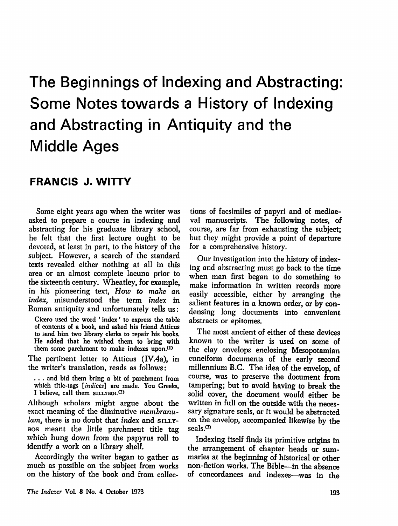# The Beginnings of Indexing and Abstracting: Some Notes towards a History of Indexing and Abstracting in Antiquity and the Middle Ages

## FRANCIS J. WITTY

Some eight years ago when the writer was asked to prepare a course in indexing and abstracting for his graduate library school, he felt that the first lecture ought to be devoted, at least in part, to the history of the subject. However, a search of the standard texts revealed either nothing at all in this area or an almost complete lacuna prior to the sixteenth century. Wheatley, for example, in his pioneering text, How to make an index, misunderstood the term index in Roman antiquity and unfortunately tells us:

Cicero used the word ' index' to express the table of contents of a book, and asked his friend Atticus to send him two library clerks to repair his books. He added that he wished them to bring with them some parchment to make indexes upon.<sup>(1)</sup>

The pertinent letter to Atticus (IV.4a), in the writer's translation, reads as follows:

. . . and bid them bring a bit of parchment from which title-tags [indices] are made. You Greeks, I believe, call them

Although scholars might argue about the exact meaning of the diminutive membranulam, there is no doubt that index and SILLYbos meant the little parchment title tag which hung down from the papyrus roll to identify a work on a library shelf.

Accordingly the writer began to gather as much as possible on the subject from works on the history of the book and from collec

tions of facsimiles of papyri and of mediae val manuscripts. The following notes, of course, are far from exhausting the subject; but they might provide a point of departure for a comprehensive history.

Our investigation into the history of index ing and abstracting must go back to the time when man first began to do something to make information in written records more easily accessible, either by arranging the salient features in a known order, or by condensing long documents into convenient abstracts or epitomes.

The most ancient of either of these devices known to the writer is used on some of the clay envelops enclosing Mesopotamian cuneiform documents of the early second millennium B.C. The idea of the envelop, of course, was to preserve the document from tampering; but to avoid having to break the solid cover, the document would either be written in full on the outside with the neces sary signature seals, or it would be abstracted on the envelop, accompanied likewise by the seals.<sup>(3)</sup>

Indexing itself finds its primitive origins in the arrangement of chapter heads or sum maries at the beginning of historical or other non-fiction works. The Bible—in the absence of concordances and indexes—was in the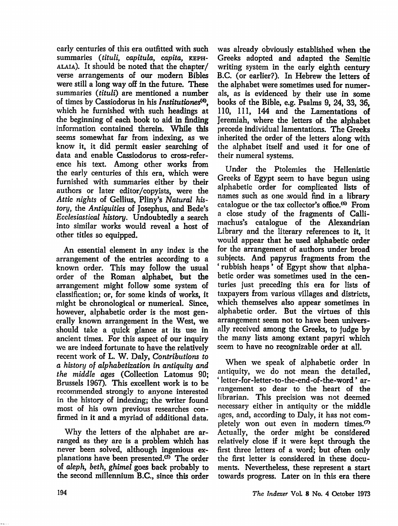early centuries of this era outfitted with such summaries (tituli, capitula, capita, KEPHalaia). It should be noted that die chapter/ verse arrangements of our modern Bibles were still a long way off in the future. These summaries (tituli) are mentioned a number of times by Cassiodorus in his Institutiones<sup>(4)</sup>, which he furnished with such headings at the beginning of each book to aid in finding information contained therein. While this seems somewhat far from indexing, as we know it, it did permit easier searching of data and enable Cassiodorus to cross-refer ence his text. Among other works from the early centuries of this era, which were furnished with summaries either by their authors or later editor/copyists, were the Attic nights of Gellius, Pliny's Natural his tory, the Antiquities of Josephus, and Bede's Ecclesiastical history. Undoubtedly a search into similar works would reveal a host of other titles so equipped.

An essential element in any index is the arrangement of the entries according to a known order. This may follow the usual order of the Roman alphabet, but the arrangement might follow some system of classification; or, for some kinds of works, it might be chronological or numerical. Since, however, alphabetic order is the most gen erally known arrangement in the West, we should take a quick glance at its use in ancient times. For this aspect of our inquiry we are indeed fortunate to have the relatively recent work of L. W. Daly, Contributions to a history of alphabetization in antiquity and the middle ages (Collection Latomus 90; Brussels 1967). This excellent work is to be recommended strongly to anyone interested in the history of indexing; the writer found most of his own previous researches con firmed in it and a myriad of additional data.

Why the letters of the alphabet are ar ranged as they are is a problem which has never been solved, although ingenious ex planations have been presented. $(5)$  The order of aleph, beth, ghimel goes back probably to the second millennium B.C., since this order

was already obviously established when the Greeks adopted and adapted the Semitic writing system in the early eighth century B.C. (or earlier?). In Hebrew the letters of the alphabet were sometimes used for numer als, as is evidenced by their use in some books of the Bible, e.g. Psalms 9, 24, 33, 36, 110, 111, 144 and the Lamentations of Jeremiah, where the letters of the alphabet precede individual lamentations. The Greeks inherited the order of the letters along with the alphabet itself and used it for one of their numeral systems.

Under the Ptolemies the Hellenistic Greeks of Egypt seem to have begun using alphabetic order for complicated lists of names such as one would find in a library catalogue or the tax collector's office/® From a close study of the fragments of Callimachus's catalogue of the Alexandrian Library and the literary references to it, it would appear that he used alphabetic order for the arrangement of authors under broad subjects. And papyrus fragments from the ' rubbish heaps' of Egypt show that alpha betic order was sometimes used in the cen turies just preceding this era for lists of taxpayers from various villages and districts, which themselves also appear sometimes in alphabetic order. But the virtues of this arrangement seem not to have been univers ally received among the Greeks, to judge by the many lists among extant papyri which seem to have no recognizable order at all.

When we speak of alphabetic order in antiquity, we do not mean the detailed, ' letter-for-letter-to-the-end-of-the-word' ar rangement so dear to the heart of the librarian. This precision was not deemed necessary either in antiquity or the middle ages, and, according to Daly, it has not com pletely won out even in modern times.<sup>(7)</sup> Actually, the order might be considered relatively close if it were kept through the first three letters of a word; but often only the first letter is considered in these docu ments. Nevertheless, these represent a start towards progress. Later on in this era there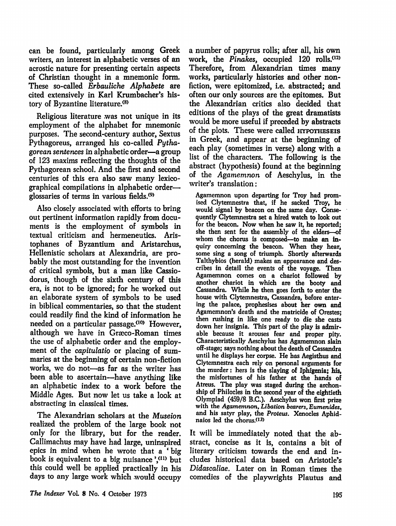can be found, particularly among Greek writers, an interest in alphabetic verses of an acrostic nature for presenting certain aspects of Christian thought in a mnemonic form. These so-called Erbauliche Alphabete are cited extensively in Karl Krumbacher's his tory of Byzantine literature.(8)

Religious literature was not unique in its employment of the alphabet for mnemonic purposes. The second-century author, Sextus Pythagoreus, arranged his co-called Pytha gorean sentences in alphabetic order—a group of 123 maxims reflecting the thoughts of the Pythagorean school. And the first and second centuries of this era also saw many lexico graphical compilations in alphabetic order glossaries of terms in various fields.(9>

Also closely associated with efforts to bring out pertinent information rapidly from docu ments is the employment of symbols in textual criticism and hermeneutics. Aris tophanes of Byzantium and Aristarchus, Hellenistic scholars at Alexandria, are pro bably the most outstanding for the invention of critical symbols, but a man like Cassiodorus, though of the sixth century of this era, is not to be ignored; for he worked out an elaborate system of symbols to be used in biblical commentaries, so that the student could readily find the kind of information he needed on a particular passage.<10) However, although we have in Graeco-Roman times the use of alphabetic order and the employ ment of the capitulatio or placing of sum maries at the beginning of certain non-fiction works, we do not—as far as the writer has been able to ascertain—have anything like an alphabetic index to a work before the Middle Ages. But now let us take a look at abstracting in classical times.

The Alexandrian scholars at the Museion realized the problem of the large book not only for the library, but for the reader. Callimachus may have had large, uninspired epics in mind when he wrote that a 'big book is equivalent to a big nuisance  $\cdot$ ,<sup>(11)</sup> but this could well be applied practically in his days to any large work which would occupy a number of papyrus rolls; after all, his own work, the Pinakes, occupied  $120$  rolls.<sup>(12)</sup> Therefore, from Alexandrian times many works, particularly histories and other nonfiction, were epitomized, i.e. abstracted; and often our only sources are the epitomes. But the Alexandrian critics also decided that editions of the plays of the great dramatists would be more useful if preceded by abstracts of the plots. These were called hypotheseis in Greek, and appear at the beginning of each play (sometimes in verse) along with a list of the characters. The following is the abstract (hypothesis) found at the beginning of the Agamemnon of Aeschylus, in the writer's translation:

Agamemnon upon departing for Troy had prom ised Clytemnestra that, if he sacked Troy, he would signal by beacon on the same day. Conse quently Clytemnestra set a hired watch to look out for the beacon. Now when he saw it, he reported; she then sent for the assembly of the elders—of whom the chorus is composed—to make an in quiry concerning the beacon. When they hear, some sing a song of triumph. Shortly afterwards Talthybios (herald) makes an appearance and des cribes in detail the events of the voyage. Then Agamemnon comes on a chariot followed by another chariot in which are the booty and Cassandra. While he then goes forth to enter the house with Clytemnestra, Cassandra, before enter ing the palace, prophesises about her own and Agamemnon's death and the matricide of Orestes; then rushing in like one ready to die she casts down her insignia. This part of the play is admir able because it arouses fear and proper pity. Characteristically Aeschylus has Agamemnon slain off-stage; says nothing about the death of Cassandra until he displays her corpse. He has Aegisthus and Clytemnestra each rely on personal arguments for the murder: hers is the slaying of Iphigenia; his, the misfortunes of his father at the hands of Atreus. The play was staged during the archonship of Philocles in the second year of the eightieth Olympiad (459/8 B.C.). Aeschylus won first prize with the Agamemnon, Libation bearers, Eumenides, and his satyr play, the Proteus. Xenocles Aphidnaios led the chorus.<sup>(13)</sup>

It will be immediately noted that the ab stract, concise as it is, contains a bit of literary criticism towards the end and in cludes historical data based on Aristotle's Didascaliae. Later on in Roman times the comedies of the playwrights Plautus and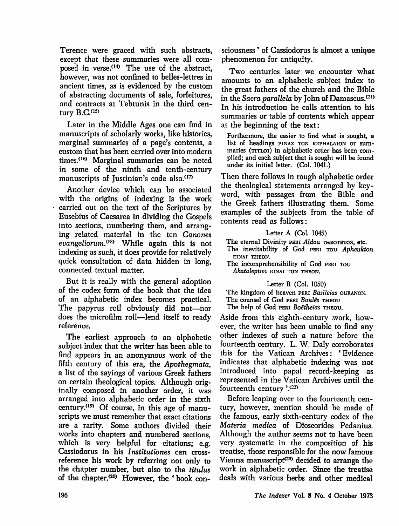Terence were graced with such abstracts, except that these summaries were all com posed in verse.<sup>(14)</sup> The use of the abstract, however, was not confined to belles-lettres in ancient times, as is evidenced by the custom of abstracting documents of sale, forfeitures, and contracts at Tebtunis in the third cen tury **B.C.**<sup>(15)</sup>

Later in the Middle Ages one can find in manuscripts of scholarly works, like histories, marginal summaries of a page's contents, a custom that has been carried over into modern times.<16> Marginal summaries can be noted in some of the ninth and tenth-century manuscripts of Justinian's code also.<sup>(17)</sup>

Another device which can be associated with the origins of indexing is the work carried out on the text of the Scriptures by Eusebius of Gaesarea in dividing the Gospels into sections, numbering them, and arrang ing related material in the ten Canones evangeliorum.<sup>(18)</sup> While again this is not indexing as such, it does provide for relatively quick consultation of data hidden in long, connected textual matter.

But it is really with the general adoption of the codex form of the book that the idea of an alphabetic index becomes practical. The papyrus roll obviously did not—nor does the microfilm roll—lend itself to ready reference.

The earliest approach to an alphabetic subject index that the writer has been able to find appears in an anonymous work of the fifth century of this era, the Apothegmata, a list of the sayings of various Greek fathers on certain theological topics. Although orig inally composed in another order, it was arranged into alphabetic order in the sixth century.<sup>(19)</sup> Of course, in this age of manuscripts we must remember that exact citations are a rarity. Some authors divided their works into chapters and numbered sections, which is very helpful for citations; e.g. Cassiodorus in his Institutiones can crossreference his work by referring not only to the chapter number, but also to the titulus of the chapter. $a^{(20)}$  However, the 'book consciousness ' of Cassiodorus is almost a unique phenomenon for antiquity.

Two centuries later we encounter what amounts to an alphabetic subject index to the great fathers of the church and the Bible in the Sacra parallela by John of Damascus.<sup>(21)</sup> In his introduction he calls attention to his summaries or table of contents which appear at the beginning of the text:

Furthermore, the easier to find what is sought, a list of headings pinax ton kephalaion or sum maries (TITLOI) in alphabetic order has been compiled; and each subject that is sought will be found under its initial letter. (Col. 1041.)

Then there follows in rough alphabetic order the theological statements arranged by key word, with passages from the Bible and the Greek fathers illustrating them. Some examples of the subjects from the table of contents read as follows:

#### Letter A (Col. 1045) The eternal Divinity peri Aidou THEOTETOS, etc. The inevitability of God PERI TOU Apheukton EINAI THEON. The incomprehensibility of God PERI TOU Akatalepton einai ton theon.

### Letter B (Col. 1050)

The kingdom of heaven peri Basileias ouranon. The counsel of God PERI Boulês THEOU

The help of God peri Boêtheias THEOU.

Aside from this eighth-century work, how ever, the writer has been unable to find any other indexes of such a nature before the fourteenth century. L. W. Daly corroborates this for the Vatican Archives: 'Evidence indicates that alphabetic indexing was not introduced into papal record-keeping as represented in the Vatican Archives until the fourteenth century '.(22)

Before leaping over to the fourteenth cen tury, however, mention should be made of the famous, early sixth-century codex of the Materia medica of Dioscorides Pedanius. Although the author seems not to have been very systematic in the composition of his treatise, those responsible for the now famous Vienna manuscript $(23)$  decided to arrange the work in alphabetic order. Since the treatise deals with various herbs and other medical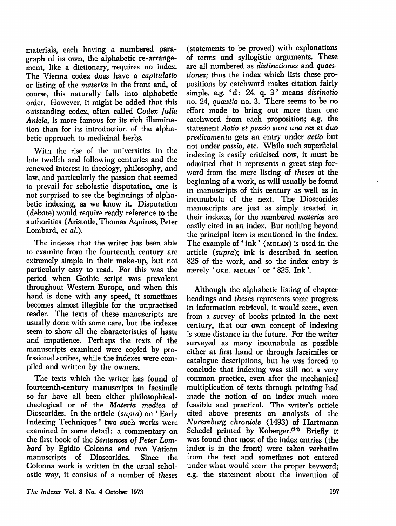materials, each having a numbered para graph of its own, the alphabetic re-arrange ment, like a dictionary, 'requires no index. The Vienna codex does have a capitulatio or listing of the *materice* in the front and, of course, this naturally falls into alphabetic order. However, it might be added that this outstanding codex, often called Codex Julia Anicia, is more famous for its rich illumina tion than for its introduction of the alpha betic approach to medicinal herbs.

With the rise of the universities in the late twelfth and following centuries and the renewed interest in theology, philosophy, and law, and particularly the passion that seemed to prevail for scholastic disputation, one is not surprised to see the beginnings of alpha betic indexing, as we know it. Disputation (debate) would require ready reference to the authorities (Aristotle, Thomas Aquinas, Peter Lombard, et al.).

The indexes that the writer has been able to examine from the fourteenth century are extremely simple in their make-up, but not particularly easy to read. For this was the period when Gothic script was prevalent throughout Western Europe, and when this hand is done with any speed, it sometimes becomes almost illegible for the unpractised reader. The texts of these manuscripts are usually done with some care, but the indexes seem to show all the characteristics of haste and impatience. Perhaps the texts of the manuscripts examined were copied by pro fessional scribes, while the indexes were com piled and written by the owners.

The texts which the writer has found of fourteenth-century manuscripts in facsimile so far have all been either philosophicaltheological or of the Materia medica of Dioscorides. In the article (supra) on ' Early Indexing Techniques' two such works were examined in some detail: a commentary on the first book of the Sentences of Peter Lom bard by Egidio Colonna and two Vatican manuscripts of Dioscorides. Since the Colonna work is written in the usual schol astic way, it consists of a number of theses

(statements to be proved) with explanations of terms and syllogistic arguments. These arc all numbered as distinctiones and quaestiones; thus the index which lists these pro positions by catchword makes citation fairly simple, e.g. 'd: 24. q. 3' means distinctio no. 24, quasstio no. 3. There seems to be no effort made to bring out more than one catchword from each proposition; e.g. the statement Actio et passio sunt una res et duo predicamenta gets an entry under actio but not under passio, etc. While such superficial indexing is easily criticised now, it must be admitted that it represents a great step for ward from the mere listing of theses at the beginning of a work, as will usually be found in manuscripts of this century as well as in incunabula of the next. The Dioscorides manuscripts are just as simply treated in their indexes, for the numbered materia are easily cited in an index. But nothing beyond the principal item is mentioned in the index. The example of 'ink' (MELAN) is used in the article (supra); ink is described in section 825 of the work, and so the index entry is merely 'OKE. MELAN' or '825. Ink'.

Although the alphabetic listing of chapter headings and theses represents some progress in information retrieval, it would seem, even from a survey of books printed in the next century, that our own concept of indexing is some distance in the future. For the writer surveyed as many incunabula as possible either at first hand or through facsimiles or catalogue descriptions, but he was forced to conclude that indexing was still not a very common practice, even after the mechanical multiplication of texts through printing had made the notion of an index much more feasible and practical. The writer's article cited above presents an analysis of the Nuremburg chronicle (1493) of Hartmann Schedel printed by Koberger.<sup>(24)</sup> Briefly it was found that most of the index entries (the index is in the front) were taken verbatim from the text and sometimes not entered under what would seem the proper keyword; e.g. the statement about the invention of